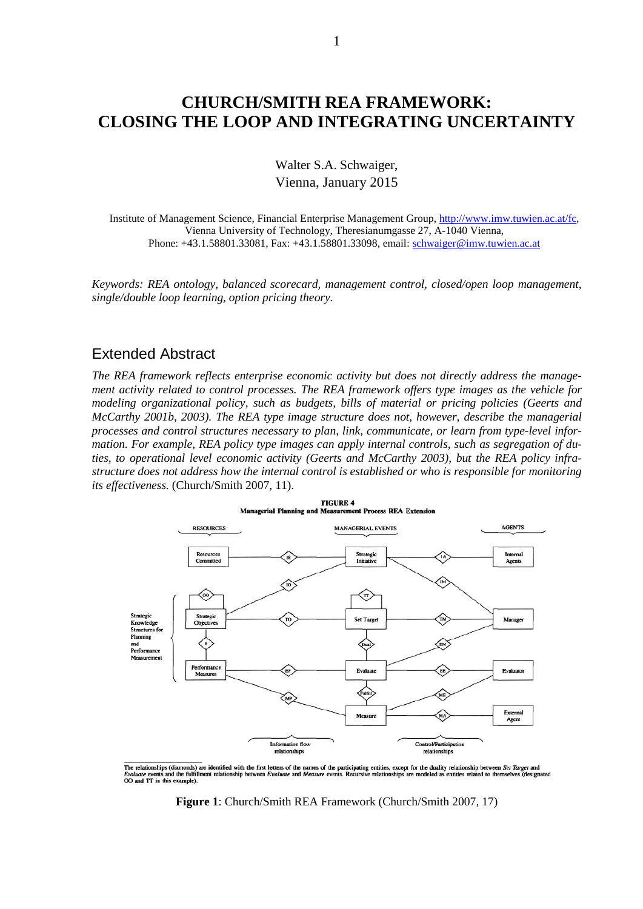## **CHURCH/SMITH REA FRAMEWORK: CLOSING THE LOOP AND INTEGRATING UNCERTAINTY**

Walter S.A. Schwaiger, Vienna, January 2015

Institute of Management Science, Financial Enterprise Management Group, [http://www.imw.tuwien.ac.at/fc,](http://www.imw.tuwien.ac.at/fc) Vienna University of Technology, Theresianumgasse 27, A-1040 Vienna, Phone: +43.1.58801.33081, Fax: +43.1.58801.33098, email: [schwaiger@imw.tuwien.ac.at](mailto:schwaiger@imw.tuwien.ac.at)

*Keywords: REA ontology, balanced scorecard, management control, closed/open loop management, single/double loop learning, option pricing theory.*

## Extended Abstract

*The REA framework reflects enterprise economic activity but does not directly address the management activity related to control processes. The REA framework offers type images as the vehicle for modeling organizational policy, such as budgets, bills of material or pricing policies (Geerts and McCarthy 2001b, 2003). The REA type image structure does not, however, describe the managerial processes and control structures necessary to plan, link, communicate, or learn from type-level information. For example, REA policy type images can apply internal controls, such as segregation of duties, to operational level economic activity (Geerts and McCarthy 2003), but the REA policy infrastructure does not address how the internal control is established or who is responsible for monitoring its effectiveness.* (Church/Smith 2007, 11).



<span id="page-0-0"></span>The relationships (diamonds) are identified with the first letters of the names of the participating entities, except for the duality relationship between Set Target and Evaluate events and the fulfillment relationship bet

**Figure 1**: Church/Smith REA Framework (Church/Smith 2007, 17)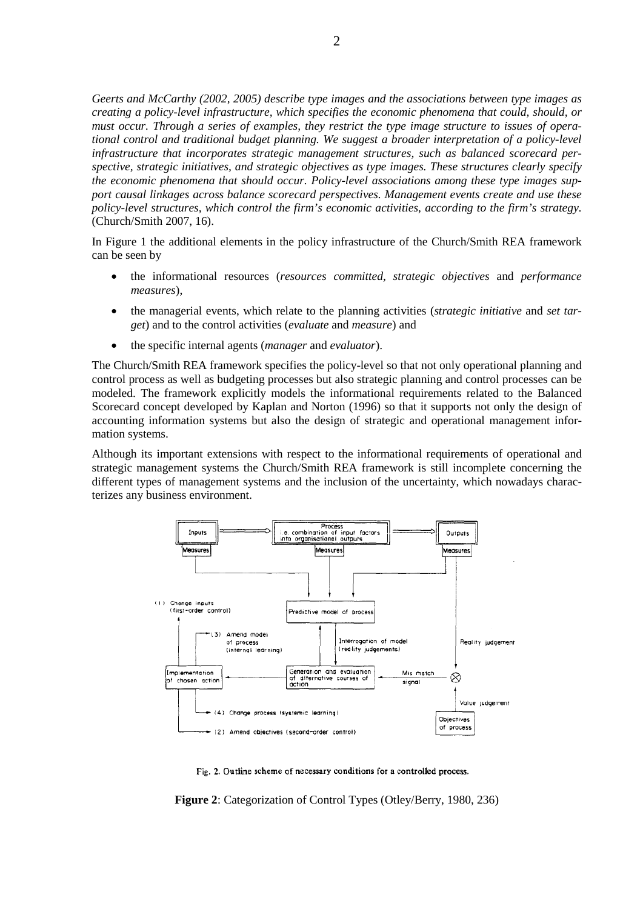*Geerts and McCarthy (2002, 2005) describe type images and the associations between type images as creating a policy-level infrastructure, which specifies the economic phenomena that could, should, or must occur. Through a series of examples, they restrict the type image structure to issues of operational control and traditional budget planning. We suggest a broader interpretation of a policy-level infrastructure that incorporates strategic management structures, such as balanced scorecard perspective, strategic initiatives, and strategic objectives as type images. These structures clearly specify the economic phenomena that should occur. Policy-level associations among these type images support causal linkages across balance scorecard perspectives. Management events create and use these policy-level structures, which control the firm's economic activities, according to the firm's strategy.* (Church/Smith 2007, 16).

In [Figure 1](#page-0-0) the additional elements in the policy infrastructure of the Church/Smith REA framework can be seen by

- the informational resources (*resources committed*, *strategic objectives* and *performance measures*),
- the managerial events, which relate to the planning activities (*strategic initiative* and *set target*) and to the control activities (*evaluate* and *measure*) and
- the specific internal agents (*manager* and *evaluator*).

The Church/Smith REA framework specifies the policy-level so that not only operational planning and control process as well as budgeting processes but also strategic planning and control processes can be modeled. The framework explicitly models the informational requirements related to the Balanced Scorecard concept developed by Kaplan and Norton (1996) so that it supports not only the design of accounting information systems but also the design of strategic and operational management information systems.

Although its important extensions with respect to the informational requirements of operational and strategic management systems the Church/Smith REA framework is still incomplete concerning the different types of management systems and the inclusion of the uncertainty, which nowadays characterizes any business environment.



Fig. 2. Outline scheme of necessary conditions for a controlled process.

<span id="page-1-0"></span>**Figure 2**: Categorization of Control Types (Otley/Berry, 1980, 236)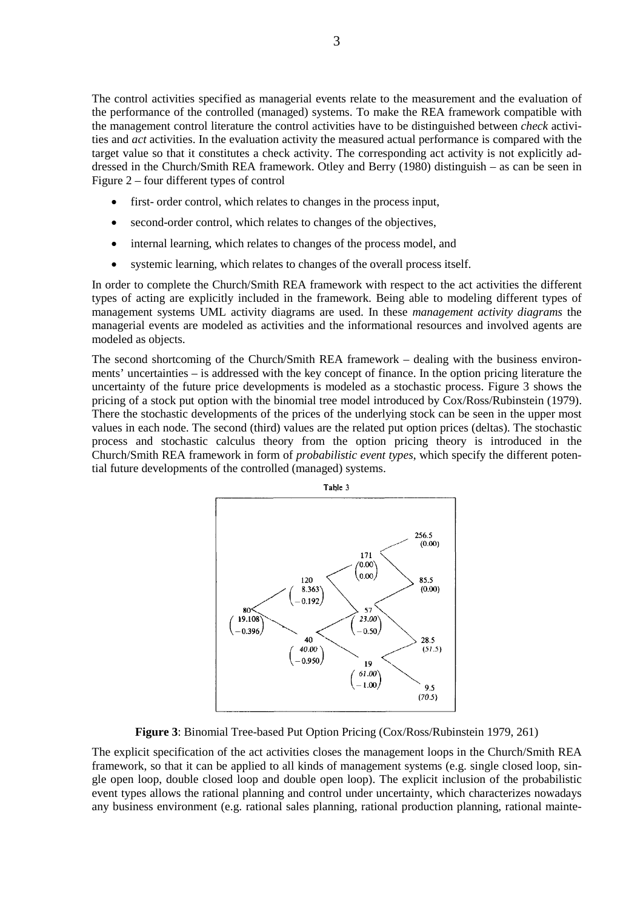The control activities specified as managerial events relate to the measurement and the evaluation of the performance of the controlled (managed) systems. To make the REA framework compatible with the management control literature the control activities have to be distinguished between *check* activities and *act* activities. In the evaluation activity the measured actual performance is compared with the target value so that it constitutes a check activity. The corresponding act activity is not explicitly addressed in the Church/Smith REA framework. Otley and Berry (1980) distinguish – as can be seen in [Figure 2](#page-1-0) – four different types of control

- first- order control, which relates to changes in the process input,
- second-order control, which relates to changes of the objectives,
- internal learning, which relates to changes of the process model, and
- systemic learning, which relates to changes of the overall process itself.

In order to complete the Church/Smith REA framework with respect to the act activities the different types of acting are explicitly included in the framework. Being able to modeling different types of management systems UML activity diagrams are used. In these *management activity diagrams* the managerial events are modeled as activities and the informational resources and involved agents are modeled as objects.

The second shortcoming of the Church/Smith REA framework – dealing with the business environments' uncertainties – is addressed with the key concept of finance. In the option pricing literature the uncertainty of the future price developments is modeled as a stochastic process. [Figure 3](#page-2-0) shows the pricing of a stock put option with the binomial tree model introduced by Cox/Ross/Rubinstein (1979). There the stochastic developments of the prices of the underlying stock can be seen in the upper most values in each node. The second (third) values are the related put option prices (deltas). The stochastic process and stochastic calculus theory from the option pricing theory is introduced in the Church/Smith REA framework in form of *probabilistic event types*, which specify the different potential future developments of the controlled (managed) systems.



**Figure 3**: Binomial Tree-based Put Option Pricing (Cox/Ross/Rubinstein 1979, 261)

<span id="page-2-0"></span>The explicit specification of the act activities closes the management loops in the Church/Smith REA framework, so that it can be applied to all kinds of management systems (e.g. single closed loop, single open loop, double closed loop and double open loop). The explicit inclusion of the probabilistic event types allows the rational planning and control under uncertainty, which characterizes nowadays any business environment (e.g. rational sales planning, rational production planning, rational mainte